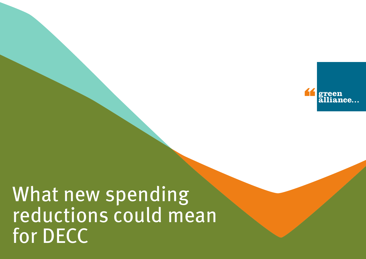

# What new spending reductions could mean for DECC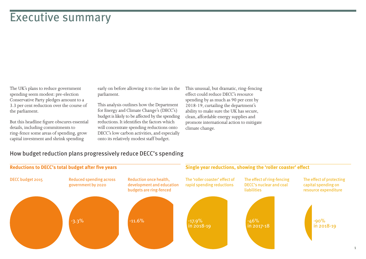### Executive summary

The UK's plans to reduce government spending seem modest: pre-election Conservative Party pledges amount to a 3.3 per cent reduction over the course of the parliament.

But this headline figure obscures essential details, including commitments to ring-fence some areas of spending, grow capital investment and shrink spending

early on before allowing it to rise late in the parliament.

This analysis outlines how the Department for Energy and Climate Change's (DECC's) budget is likely to be affected by the spending reductions. It identifies the factors which will concentrate spending reductions onto DECC's low carbon activities, and especially onto its relatively modest staff budget.

This unusual, but dramatic, ring-fencing effect could reduce DECC's resource spending by as much as 90 per cent by 2018-19, curtailing the department's ability to make sure the UK has secure, clean, affordable energy supplies and promote international action to mitigate climate change.

#### How budget reduction plans progressively reduce DECC's spending

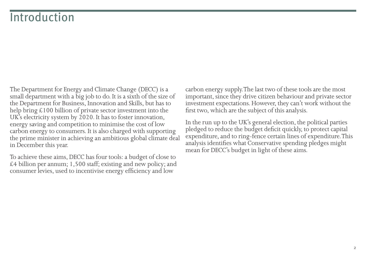# **Introduction**

The Department for Energy and Climate Change (DECC) is a small department with a big job to do. It is a sixth of the size of the Department for Business, Innovation and Skills, but has to help bring £100 billion of private sector investment into the UK's electricity system by 2020. It has to foster innovation, energy saving and competition to minimise the cost of low carbon energy to consumers. It is also charged with supporting the prime minister in achieving an ambitious global climate deal in December this year.

To achieve these aims, DECC has four tools: a budget of close to  $£4$  billion per annum; 1,500 staff; existing and new policy; and consumer levies, used to incentivise energy efficiency and low

carbon energy supply. The last two of these tools are the most important, since they drive citizen behaviour and private sector investment expectations. However, they can't work without the first two, which are the subject of this analysis.

In the run up to the UK's general election, the political parties pledged to reduce the budget deficit quickly, to protect capital expenditure, and to ring-fence certain lines of expenditure. This analysis identifies what Conservative spending pledges might mean for DECC's budget in light of these aims.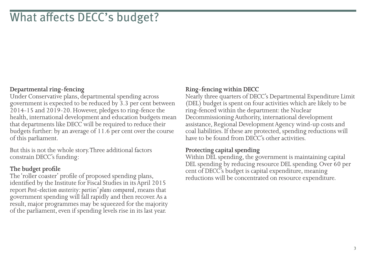# What affects DECC's budget?

### **Departmental ring-fencing**

Under Conservative plans, departmental spending across government is expected to be reduced by 3.3 per cent between 2014-15 and 2019-20. However, pledges to ring-fence the health, international development and education budgets mean that departments like DECC will be required to reduce their budgets further: by an average of 11.6 per cent over the course of this parliament.

But this is not the whole story. Three additional factors constrain DECC's funding:

#### **The budget profile**

The 'roller coaster' profile of proposed spending plans, identified by the Institute for Fiscal Studies in its April 2015 report *Post-election austerity: parties' plans compared*, means that government spending will fall rapidly and then recover. As a result, major programmes may be squeezed for the majority of the parliament, even if spending levels rise in its last year.

### **Ring-fencing within DECC**

Nearly three quarters of DECC's Departmental Expenditure Limit (DEL) budget is spent on four activities which are likely to be ring-fenced within the department: the Nuclear Decommissioning Authority, international development assistance, Regional Development Agency wind-up costs and coal liabilities. If these are protected, spending reductions will have to be found from DECC's other activities.

#### **Protecting capital spending**

Within DEL spending, the government is maintaining capital DEL spending by reducing resource DEL spending. Over 60 per cent of DECC's budget is capital expenditure, meaning reductions will be concentrated on resource expenditure.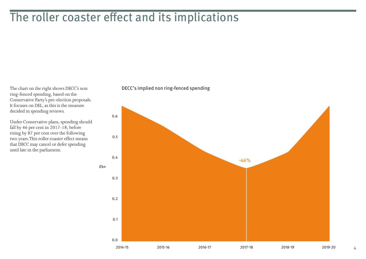### The roller coaster effect and its implications

The chart on the right shows DECC's non ring-fenced spending, based on the Conservative Party's pre-election proposals. It focuses on DEL, as this is the measure decided in spending reviews.

Under Conservative plans, spending should fall by 46 per cent in 2017-18, before rising by 87 per cent over the following two years. This roller coaster effect means that DECC may cancel or defer spending until late in the parliament.

#### DECC's implied non ring-fenced spending



4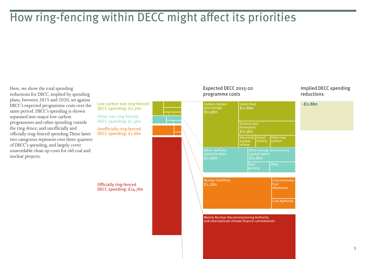# How ring-fencing within DECC might affect its priorities

Here, we show the total spending reductions for DECC, implied by spending plans, between 2015 and 2020, set against DECC's expected programme costs over the same period. DECC's spending is shown separated into major low carbon programmes and other spending outside the ring-fence; and unofficially and officially ring-fenced spending. These latter two categories represent over three quarters of DECC's spending, and largely cover unavoidable clean up costs for old coal and nuclear projects.

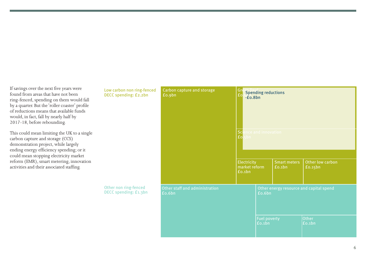If savings over the next five years were found from areas that have not been ring-fenced, spending on them would fall by a quarter. But the 'roller coaster' profile of reductions means that available funds would, in fact, fall by nearly half by 2017-18, before rebounding.

This could mean limiting the UK to a single carbon capture and storage (CCS) demonstration project, while largely ending energy efficiency spending; or it could mean stopping electricity market reform (EMR), smart metering, innovation activities and their associated staffing.

Low carbon non ring-fenced DECC spending: £2.2bn Other non ring-fenced DECC spending: £1.3bn Carbon capture and storage £0.9bn Other staff and administration £0.6bn Other energy resource and capital spend £0.6bn Fuel poverty £0.1bn Other £0.1bn  $G_{\text{re}}$  Spending reductions  $-E<sub>0.8b<sub>n</sub></sub>$ Science and innovation<br> **fo**.sbn Electricity market reform £0.1bn Other low carbon £0.15bn Smart meters £0.1bn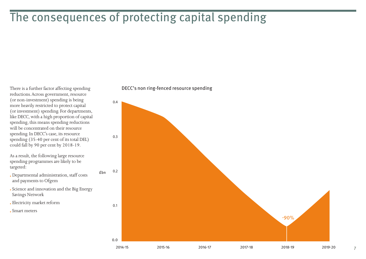# The consequences of protecting capital spending

There is a further factor affecting spending reductions. Across government, resource (or non-investment) spending is being more heavily restricted to protect capital (or investment) spending. For departments, like DECC, with a high proportion of capital spending, this means spending reductions will be concentrated on their resource spending. In DECC's case, its resource spending (35-40 per cent of its total DEL) could fall by 90 per cent by 2018-19.

As a result, the following large resource spending programmes are likely to be targeted:

• Departmental administration, staff costs and payments to Ofgem

• Science and innovation and the Big Energy Savings Network

- Electricity market reform
- Smart meters

DECC's non ring-fenced resource spending



7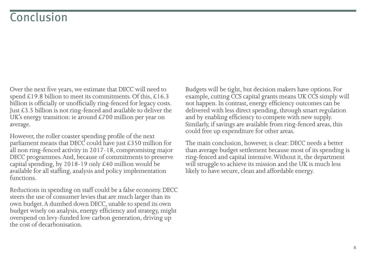# Conclusion

Over the next five years, we estimate that DECC will need to spend £19.8 billion to meet its commitments. Of this, £16.3 billion is officially or unofficially ring-fenced for legacy costs. Just £3.5 billion is not ring-fenced and available to deliver the UK's energy transition: ie around £700 million per year on average.

However, the roller coaster spending profile of the next parliament means that DECC could have just  $\text{\pounds}350$  million for all non ring-fenced activity in 2017-18, compromising major DECC programmes. And, because of commitments to preserve capital spending, by 2018-19 only £40 million would be available for all staffing, analysis and policy implementation functions.

Reductions in spending on staff could be a false economy. DECC steers the use of consumer levies that are much larger than its own budget. A dumbed down DECC, unable to spend its own budget wisely on analysis, energy efficiency and strategy, might overspend on levy-funded low carbon generation, driving up the cost of decarbonisation.

Budgets will be tight, but decision makers have options. For example, cutting CCS capital grants means UK CCS simply will not happen. In contrast, energy efficiency outcomes can be delivered with less direct spending, through smart regulation and by enabling efficiency to compete with new supply. Similarly, if savings are available from ring-fenced areas, this could free up expenditure for other areas.

The main conclusion, however, is clear: DECC needs a better than average budget settlement because most of its spending is ring-fenced and capital intensive. Without it, the department will struggle to achieve its mission and the UK is much less likely to have secure, clean and affordable energy.